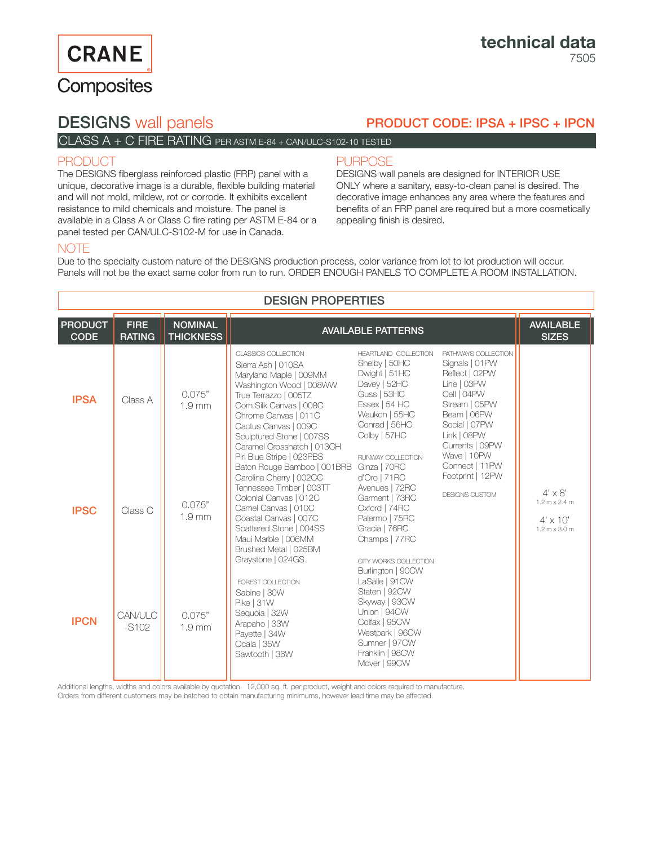# **CRANE**

# Composites

# DESIGNS wall panels

# PRODUCT CODE: IPSA + IPSC + IPCN

## CLASS A + C FIRE RATING PER ASTM E-84 + CAN/ULC-S102-10 TESTED

### PRODUCT

The DESIGNS fiberglass reinforced plastic (FRP) panel with a unique, decorative image is a durable, flexible building material and will not mold, mildew, rot or corrode. It exhibits excellent resistance to mild chemicals and moisture. The panel is available in a Class A or Class C fire rating per ASTM E-84 or a panel tested per CAN/ULC-S102-M for use in Canada.

### **PURPOSE**

DESIGNS wall panels are designed for INTERIOR USE ONLY where a sanitary, easy-to-clean panel is desired. The decorative image enhances any area where the features and benefits of an FRP panel are required but a more cosmetically appealing finish is desired.

## **NOTE**

Due to the specialty custom nature of the DESIGNS production process, color variance from lot to lot production will occur. Panels will not be the exact same color from run to run. ORDER ENOUGH PANELS TO COMPLETE A ROOM INSTALLATION.

| <b>DESIGN PROPERTIES</b>      |                              |                                    |                                                                                                                                                                                                                                                                                           |                                                                                                                                                                                     |                                                                                                                                                                           |                                                                                                                   |  |  |  |
|-------------------------------|------------------------------|------------------------------------|-------------------------------------------------------------------------------------------------------------------------------------------------------------------------------------------------------------------------------------------------------------------------------------------|-------------------------------------------------------------------------------------------------------------------------------------------------------------------------------------|---------------------------------------------------------------------------------------------------------------------------------------------------------------------------|-------------------------------------------------------------------------------------------------------------------|--|--|--|
| <b>PRODUCT</b><br><b>CODE</b> | <b>FIRE</b><br><b>RATING</b> | <b>NOMINAL</b><br><b>THICKNESS</b> | <b>AVAILABLE PATTERNS</b>                                                                                                                                                                                                                                                                 |                                                                                                                                                                                     |                                                                                                                                                                           | <b>AVAILABLE</b><br><b>SIZES</b>                                                                                  |  |  |  |
| <b>IPSA</b>                   | Class A                      | 0.075"<br>1.9 <sub>mm</sub>        | CLASSICS COLLECTION<br>Sierra Ash   010SA<br>Maryland Maple   009MM<br>Washington Wood   008WW<br>True Terrazzo   005TZ<br>Corn Silk Canvas   008C<br>Chrome Canvas   011C<br>Cactus Canvas   009C<br>Sculptured Stone   007SS<br>Caramel Crosshatch   013CH                              | HEARTLAND COLLECTION<br>Shelby   50HC<br>Dwight   51HC<br>Davey   52HC<br>Guss   53HC<br>Essex   54 HC<br>Waukon   55HC<br>Conrad   56HC<br>Colby   57HC                            | PATHWAYS COLLECTION<br>Signals   01 PW<br>Reflect   02PW<br>Line   03PW<br>Cell   04PW<br>Stream   05PW<br>Beam   06PW<br>Social   07PW<br>Link   08PW<br>Currents   09PW |                                                                                                                   |  |  |  |
| <b>IPSC</b>                   | Class C                      | 0.075"<br>1.9 <sub>mm</sub>        | Piri Blue Stripe   023PBS<br>Baton Rouge Bamboo   001BRB<br>Carolina Cherry   002CC<br>Tennessee Timber   003TT<br>Colonial Canvas   012C<br>Camel Canvas   010C<br>Coastal Canvas   007C<br>Scattered Stone   004SS<br>Maui Marble   006MM<br>Brushed Metal   025BM<br>Graystone   024GS | RUNWAY COLLECTION<br>Ginza   70RC<br>d'Oro   71RC<br>Avenues   72RC<br>Garment   73RC<br>Oxford   74RC<br>Palermo   75RC<br>Gracia   76RC<br>Champs   77RC<br>CITY WORKS COLLECTION | Wave   10PW<br>Connect   11PW<br>Footprint   12PW<br>DESIGNS CUSTOM                                                                                                       | $4' \times 8'$<br>$1.2 \text{ m} \times 2.4 \text{ m}$<br>$4' \times 10'$<br>$1.2 \text{ m} \times 3.0 \text{ m}$ |  |  |  |
| <b>IPCN</b>                   | CAN/ULC<br>$-S102$           | 0.075"<br>1.9 <sub>mm</sub>        | FOREST COLLECTION<br>Sabine   30W<br>Pike   31W<br>Sequoia   32W<br>Arapaho   33W<br>Payette   34W<br>Ocala   35W<br>Sawtooth   36W                                                                                                                                                       | Burlington   90CW<br>LaSalle   91 CW<br>Staten   92CW<br>Skyway   93CW<br>Union   94CW<br>Colfax   95CW<br>Westpark   96CW<br>Sumner   97CW<br>Franklin   98CW<br>Mover   99CW      |                                                                                                                                                                           |                                                                                                                   |  |  |  |

Additional lengths, widths and colors available by quotation. 12,000 sq. ft. per product, weight and colors required to manufacture.

Orders from different customers may be batched to obtain manufacturing minimums, however lead time may be affected.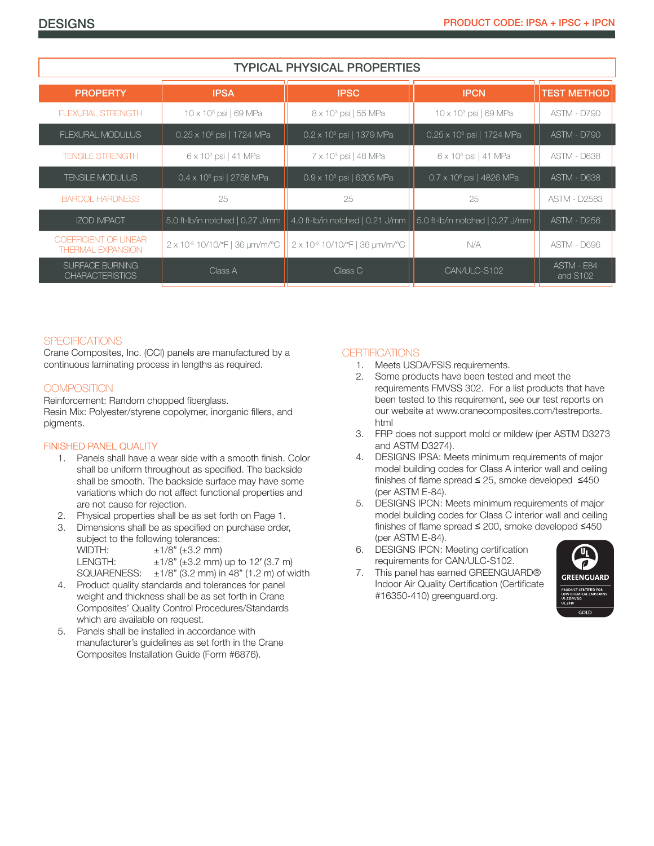| <b>TYPICAL PHYSICAL PROPERTIES</b>                |                                            |                                            |                                       |                        |  |  |  |  |
|---------------------------------------------------|--------------------------------------------|--------------------------------------------|---------------------------------------|------------------------|--|--|--|--|
| <b>PROPERTY</b>                                   | <b>IPSA</b>                                | <b>IPSC</b>                                | <b>IPCN</b>                           | <b>TEST METHOD</b>     |  |  |  |  |
| <b>FLEXURAL STRENGTH</b>                          | $10 \times 10^3$ psi   69 MPa              | 8 x 10 <sup>3</sup> psi   55 MPa           | 10 x 10 <sup>3</sup> psi   69 MPa     | <b>ASTM - D790</b>     |  |  |  |  |
| FLEXURAL MODULUS                                  | 0.25 x 10 <sup>6</sup> psi   1724 MPa      | $0.2 \times 10^6$ psi   1379 MPa           | 0.25 x 10 <sup>6</sup> psi   1724 MPa | <b>ASTM - D790</b>     |  |  |  |  |
| <b>TENSILE STRENGTH</b>                           | 6 x 10 <sup>3</sup> psi   41 MPa           | $7 \times 10^3$ psi   48 MPa               | 6 x 10 <sup>3</sup> psi   41 MPa      | <b>ASTM - D638</b>     |  |  |  |  |
| <b>TENSILE MODULUS</b>                            | $0.4 \times 10^6$ psi   2758 MPa           | $0.9 \times 10^6$ psi   6205 MPa           | $0.7 \times 10^6$ psi   4826 MPa      | ASTM - D638            |  |  |  |  |
| <b>BARCOL HARDNESS</b>                            | 25                                         | 25                                         | 25                                    | <b>ASTM - D2583</b>    |  |  |  |  |
| <b>IZOD IMPACT</b>                                | 5.0 ft-lb/in notched   0.27 J/mm           | 4.0 ft-lb/in notched   0.21 J/mm           | 5.0 ft-lb/in notched   0.27 J/mm      | <b>ASTM - D256</b>     |  |  |  |  |
| COEFFICIENT OF LINEAR<br><b>THERMAL EXPANSION</b> | 2 x 10 <sup>-5</sup> 10/10/°F   36 um/m/°C | 2 x 10 <sup>-5</sup> 10/10/°F   36 um/m/°C | N/A                                   | ASTM - D696            |  |  |  |  |
| SURFACE BURNING<br><b>CHARACTERISTICS</b>         | Class A                                    | Class C                                    | CAN/ULC-S102                          | ASTM - E84<br>and S102 |  |  |  |  |

#### **SPECIFICATIONS**

Crane Composites, Inc. (CCI) panels are manufactured by a continuous laminating process in lengths as required.

#### **COMPOSITION**

Reinforcement: Random chopped fiberglass. Resin Mix: Polyester/styrene copolymer, inorganic fillers, and pigments.

#### FINISHED PANEL QUALITY

- 1. Panels shall have a wear side with a smooth finish. Color shall be uniform throughout as specified. The backside shall be smooth. The backside surface may have some variations which do not affect functional properties and are not cause for rejection.
- 2. Physical properties shall be as set forth on Page 1.
- 3. Dimensions shall be as specified on purchase order, subject to the following tolerances: WIDTH:  $\pm 1/8$ " ( $\pm 3.2$  mm) LENGTH:  $\pm 1/8$ " ( $\pm 3.2$  mm) up to 12' (3.7 m) SQUARENESS:  $\pm 1/8$ " (3.2 mm) in 48" (1.2 m) of width
- 4. Product quality standards and tolerances for panel weight and thickness shall be as set forth in Crane Composites' Quality Control Procedures/Standards which are available on request.
- 5. Panels shall be installed in accordance with manufacturer's guidelines as set forth in the Crane Composites Installation Guide (Form #6876).

#### **CERTIFICATIONS**

- 1. Meets USDA/FSIS requirements.
- 2. Some products have been tested and meet the requirements FMVSS 302. For a list products that have been tested to this requirement, see our test reports on our website at www.cranecomposites.com/testreports. html
- 3. FRP does not support mold or mildew (per ASTM D3273 and ASTM D3274).
- 4. DESIGNS IPSA: Meets minimum requirements of major model building codes for Class A interior wall and ceiling finishes of flame spread ≤ 25, smoke developed ≤450 (per ASTM E-84).
- 5. DESIGNS IPCN: Meets minimum requirements of major model building codes for Class C interior wall and ceiling finishes of flame spread ≤ 200, smoke developed ≤450 (per ASTM E-84).
- 6. DESIGNS IPCN: Meeting certification requirements for CAN/ULC-S102.
- 7. This panel has earned GREENGUARD® Indoor Air Quality Certification (Certificate #16350-410) greenguard.org.